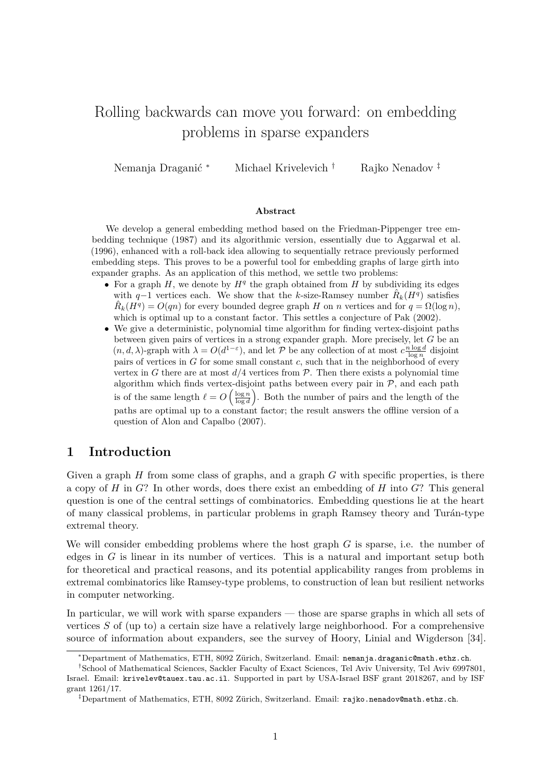# Rolling backwards can move you forward: on embedding problems in sparse expanders

Nemanja Draganić <sup>∗</sup> Michael Krivelevich † Rajko Nenadov ‡

#### **Abstract**

We develop a general embedding method based on the Friedman-Pippenger tree embedding technique (1987) and its algorithmic version, essentially due to Aggarwal et al. (1996), enhanced with a roll-back idea allowing to sequentially retrace previously performed embedding steps. This proves to be a powerful tool for embedding graphs of large girth into expander graphs. As an application of this method, we settle two problems:

- For a graph  $H$ , we denote by  $H<sup>q</sup>$  the graph obtained from  $H$  by subdividing its edges with  $q-1$  vertices each. We show that the *k*-size-Ramsey number  $\hat{R}_k(H^q)$  satisfies  $\hat{R}_k(H^q) = O(qn)$  for every bounded degree graph *H* on *n* vertices and for  $q = \Omega(\log n)$ , which is optimal up to a constant factor. This settles a conjecture of Pak (2002).
- We give a deterministic, polynomial time algorithm for finding vertex-disjoint paths between given pairs of vertices in a strong expander graph. More precisely, let *G* be an  $(n, d, \lambda)$ -graph with  $\lambda = O(d^{1-\varepsilon})$ , and let P be any collection of at most  $c \frac{n \log d}{\log n}$  disjoint pairs of vertices in *G* for some small constant *c*, such that in the neighborhood of every vertex in *G* there are at most  $d/4$  vertices from  $\mathcal{P}$ . Then there exists a polynomial time algorithm which finds vertex-disjoint paths between every pair in  $P$ , and each path is of the same length  $\ell = O\left(\frac{\log n}{\log d}\right)$ . Both the number of pairs and the length of the paths are optimal up to a constant factor; the result answers the offline version of a question of Alon and Capalbo (2007).

### **1 Introduction**

Given a graph *H* from some class of graphs, and a graph *G* with specific properties, is there a copy of *H* in *G*? In other words, does there exist an embedding of *H* into *G*? This general question is one of the central settings of combinatorics. Embedding questions lie at the heart of many classical problems, in particular problems in graph Ramsey theory and Turán-type extremal theory.

We will consider embedding problems where the host graph *G* is sparse, i.e. the number of edges in *G* is linear in its number of vertices. This is a natural and important setup both for theoretical and practical reasons, and its potential applicability ranges from problems in extremal combinatorics like Ramsey-type problems, to construction of lean but resilient networks in computer networking.

In particular, we will work with sparse expanders — those are sparse graphs in which all sets of vertices *S* of (up to) a certain size have a relatively large neighborhood. For a comprehensive source of information about expanders, see the survey of Hoory, Linial and Wigderson [\[34\]](#page-14-0).

<sup>∗</sup>Department of Mathematics, ETH, 8092 Zürich, Switzerland. Email: [nemanja.draganic@math.ethz.ch](mailto:nemanja.draganic@math.ethz.ch).

<sup>†</sup>School of Mathematical Sciences, Sackler Faculty of Exact Sciences, Tel Aviv University, Tel Aviv 6997801, Israel. Email: [krivelev@tauex.tau.ac.il](mailto:krivelev@tauex.tau.ac.il). Supported in part by USA-Israel BSF grant 2018267, and by ISF grant 1261/17.

<sup>‡</sup>Department of Mathematics, ETH, 8092 Zürich, Switzerland. Email: [rajko.nenadov@math.ethz.ch](mailto:rajko.nenadov@math.ethz.ch).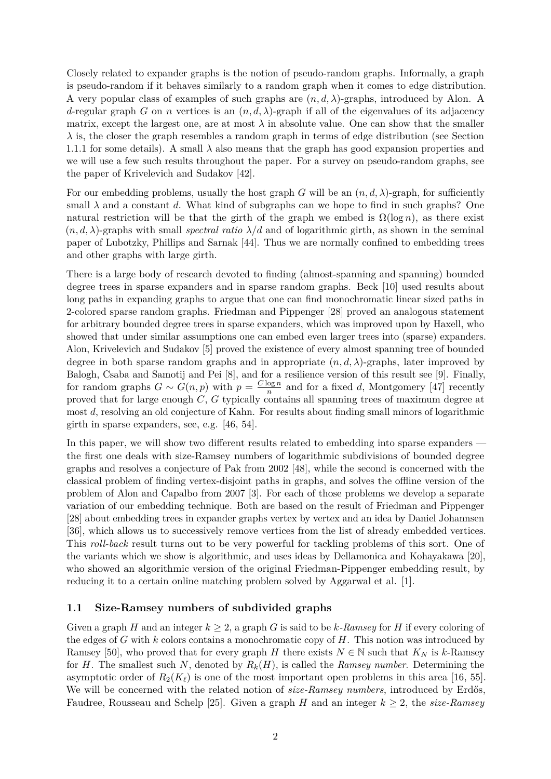Closely related to expander graphs is the notion of pseudo-random graphs. Informally, a graph is pseudo-random if it behaves similarly to a random graph when it comes to edge distribution. A very popular class of examples of such graphs are  $(n, d, \lambda)$ -graphs, introduced by Alon. A *d*-regular graph *G* on *n* vertices is an  $(n, d, \lambda)$ -graph if all of the eigenvalues of its adjacency matrix, except the largest one, are at most  $\lambda$  in absolute value. One can show that the smaller  $\lambda$  is, the closer the graph resembles a random graph in terms of edge distribution (see Section [1.1.1](#page-2-0) for some details). A small  $\lambda$  also means that the graph has good expansion properties and we will use a few such results throughout the paper. For a survey on pseudo-random graphs, see the paper of Krivelevich and Sudakov [\[42\]](#page-14-1).

For our embedding problems, usually the host graph *G* will be an  $(n, d, \lambda)$ -graph, for sufficiently small  $\lambda$  and a constant *d*. What kind of subgraphs can we hope to find in such graphs? One natural restriction will be that the girth of the graph we embed is  $\Omega(\log n)$ , as there exist  $(n, d, \lambda)$ -graphs with small *spectral ratio*  $\lambda/d$  and of logarithmic girth, as shown in the seminal paper of Lubotzky, Phillips and Sarnak [\[44\]](#page-14-2). Thus we are normally confined to embedding trees and other graphs with large girth.

There is a large body of research devoted to finding (almost-spanning and spanning) bounded degree trees in sparse expanders and in sparse random graphs. Beck [\[10\]](#page-13-0) used results about long paths in expanding graphs to argue that one can find monochromatic linear sized paths in 2-colored sparse random graphs. Friedman and Pippenger [\[28\]](#page-14-3) proved an analogous statement for arbitrary bounded degree trees in sparse expanders, which was improved upon by Haxell, who showed that under similar assumptions one can embed even larger trees into (sparse) expanders. Alon, Krivelevich and Sudakov [\[5\]](#page-12-0) proved the existence of every almost spanning tree of bounded degree in both sparse random graphs and in appropriate  $(n, d, \lambda)$ -graphs, later improved by Balogh, Csaba and Samotij and Pei [\[8\]](#page-12-1), and for a resilience version of this result see [\[9\]](#page-13-1). Finally, for random graphs  $G \sim G(n, p)$  with  $p = \frac{C \log n}{n}$  $\frac{\log n}{n}$  and for a fixed *d*, Montgomery [\[47\]](#page-15-0) recently proved that for large enough *C*, *G* typically contains all spanning trees of maximum degree at most *d*, resolving an old conjecture of Kahn. For results about finding small minors of logarithmic girth in sparse expanders, see, e.g. [\[46,](#page-14-4) [54\]](#page-15-1).

In this paper, we will show two different results related to embedding into sparse expanders the first one deals with size-Ramsey numbers of logarithmic subdivisions of bounded degree graphs and resolves a conjecture of Pak from 2002 [\[48\]](#page-15-2), while the second is concerned with the classical problem of finding vertex-disjoint paths in graphs, and solves the offline version of the problem of Alon and Capalbo from 2007 [\[3\]](#page-12-2). For each of those problems we develop a separate variation of our embedding technique. Both are based on the result of Friedman and Pippenger [\[28\]](#page-14-3) about embedding trees in expander graphs vertex by vertex and an idea by Daniel Johannsen [\[36\]](#page-14-5), which allows us to successively remove vertices from the list of already embedded vertices. This *roll-back* result turns out to be very powerful for tackling problems of this sort. One of the variants which we show is algorithmic, and uses ideas by Dellamonica and Kohayakawa [\[20\]](#page-13-2), who showed an algorithmic version of the original Friedman-Pippenger embedding result, by reducing it to a certain online matching problem solved by Aggarwal et al. [\[1\]](#page-12-3).

#### **1.1 Size-Ramsey numbers of subdivided graphs**

Given a graph *H* and an integer  $k \geq 2$ , a graph *G* is said to be *k*-Ramsey for *H* if every coloring of the edges of *G* with *k* colors contains a monochromatic copy of *H*. This notion was introduced by Ramsey [\[50\]](#page-15-3), who proved that for every graph *H* there exists  $N \in \mathbb{N}$  such that  $K_N$  is *k*-Ramsey for *H*. The smallest such *N*, denoted by  $R_k(H)$ , is called the *Ramsey number*. Determining the asymptotic order of  $R_2(K_\ell)$  is one of the most important open problems in this area [\[16,](#page-13-3) [55\]](#page-15-4). We will be concerned with the related notion of *size-Ramsey numbers*, introduced by Erdős, Faudree, Rousseau and Schelp [\[25\]](#page-13-4). Given a graph *H* and an integer  $k \geq 2$ , the *size-Ramsey*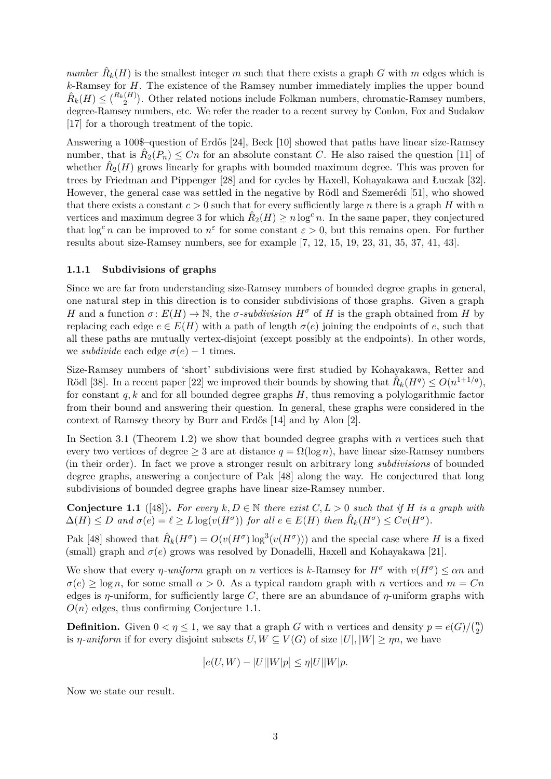*number*  $\hat{R}_k(H)$  is the smallest integer *m* such that there exists a graph *G* with *m* edges which is *k*-Ramsey for *H*. The existence of the Ramsey number immediately implies the upper bound  $\hat{R}_k(H) \leq \binom{R_k(H)}{2}$ . Other related notions include Folkman numbers, chromatic-Ramsey numbers, degree-Ramsey numbers, etc. We refer the reader to a recent survey by Conlon, Fox and Sudakov [\[17\]](#page-13-5) for a thorough treatment of the topic.

Answering a 100\$–question of Erdős [\[24\]](#page-13-6), Beck [\[10\]](#page-13-0) showed that paths have linear size-Ramsey number, that is  $\hat{R}_2(P_n) \leq Cn$  for an absolute constant *C*. He also raised the question [\[11\]](#page-13-7) of whether  $\hat{R}_2(H)$  grows linearly for graphs with bounded maximum degree. This was proven for trees by Friedman and Pippenger [\[28\]](#page-14-3) and for cycles by Haxell, Kohayakawa and Łuczak [\[32\]](#page-14-6). However, the general case was settled in the negative by Rödl and Szemerédi [\[51\]](#page-15-5), who showed that there exists a constant  $c > 0$  such that for every sufficiently large *n* there is a graph *H* with *n* vertices and maximum degree 3 for which  $\hat{R}_2(H) \ge n \log^c n$ . In the same paper, they conjectured that  $\log^c n$  can be improved to  $n^{\varepsilon}$  for some constant  $\varepsilon > 0$ , but this remains open. For further results about size-Ramsey numbers, see for example [\[7,](#page-12-4) [12,](#page-13-8) [15,](#page-13-9) [19,](#page-13-10) [23,](#page-13-11) [31,](#page-14-7) [35,](#page-14-8) [37,](#page-14-9) [41,](#page-14-10) [43\]](#page-14-11).

#### <span id="page-2-0"></span>**1.1.1 Subdivisions of graphs**

Since we are far from understanding size-Ramsey numbers of bounded degree graphs in general, one natural step in this direction is to consider subdivisions of those graphs. Given a graph *H* and a function  $\sigma$ :  $E(H) \to \mathbb{N}$ , the  $\sigma$ -*subdivision*  $H^{\sigma}$  of *H* is the graph obtained from *H* by replacing each edge  $e \in E(H)$  with a path of length  $\sigma(e)$  joining the endpoints of *e*, such that all these paths are mutually vertex-disjoint (except possibly at the endpoints). In other words, we *subdivide* each edge  $\sigma(e) - 1$  times.

Size-Ramsey numbers of 'short' subdivisions were first studied by Kohayakawa, Retter and Rödl [\[38\]](#page-14-12). In a recent paper [\[22\]](#page-13-12) we improved their bounds by showing that  $\hat{R}_k(H^q) \leq O(n^{1+1/q})$ , for constant *q, k* and for all bounded degree graphs *H*, thus removing a polylogarithmic factor from their bound and answering their question. In general, these graphs were considered in the context of Ramsey theory by Burr and Erdős [\[14\]](#page-13-13) and by Alon [\[2\]](#page-12-5).

In Section [3.1](#page-8-0) (Theorem [1.2\)](#page-3-0) we show that bounded degree graphs with *n* vertices such that every two vertices of degree  $\geq 3$  are at distance  $q = \Omega(\log n)$ , have linear size-Ramsey numbers (in their order). In fact we prove a stronger result on arbitrary long *subdivisions* of bounded degree graphs, answering a conjecture of Pak [\[48\]](#page-15-2) along the way. He conjectured that long subdivisions of bounded degree graphs have linear size-Ramsey number.

<span id="page-2-1"></span>**Conjecture 1.1** ([\[48\]](#page-15-2)). For every  $k, D \in \mathbb{N}$  there exist  $C, L > 0$  such that if  $H$  is a graph with  $\Delta(H) \leq D$  and  $\sigma(e) = \ell \geq L \log(v(H^{\sigma}))$  for all  $e \in E(H)$  then  $\hat{R}_k(H^{\sigma}) \leq Cv(H^{\sigma})$ .

Pak [\[48\]](#page-15-2) showed that  $\hat{R}_k(H^{\sigma}) = O(v(H^{\sigma}) \log^3(v(H^{\sigma})))$  and the special case where *H* is a fixed (small) graph and  $\sigma(e)$  grows was resolved by Donadelli, Haxell and Kohayakawa [\[21\]](#page-13-14).

We show that every *η-uniform* graph on *n* vertices is *k*-Ramsey for  $H^{\sigma}$  with  $v(H^{\sigma}) \leq \alpha n$  and  $\sigma(e) \geq \log n$ , for some small  $\alpha > 0$ . As a typical random graph with *n* vertices and  $m = Cn$ edges is  $\eta$ -uniform, for sufficiently large C, there are an abundance of  $\eta$ -uniform graphs with  $O(n)$  edges, thus confirming Conjecture [1.1.](#page-2-1)

**Definition.** Given  $0 < \eta \leq 1$ , we say that a graph *G* with *n* vertices and density  $p = e(G)/\binom{n}{2}$ is *η-uniform* if for every disjoint subsets  $U, W \subseteq V(G)$  of size  $|U|, |W| \ge \eta n$ , we have

$$
|e(U,W) - |U||W|p| \le \eta |U||W|p.
$$

Now we state our result.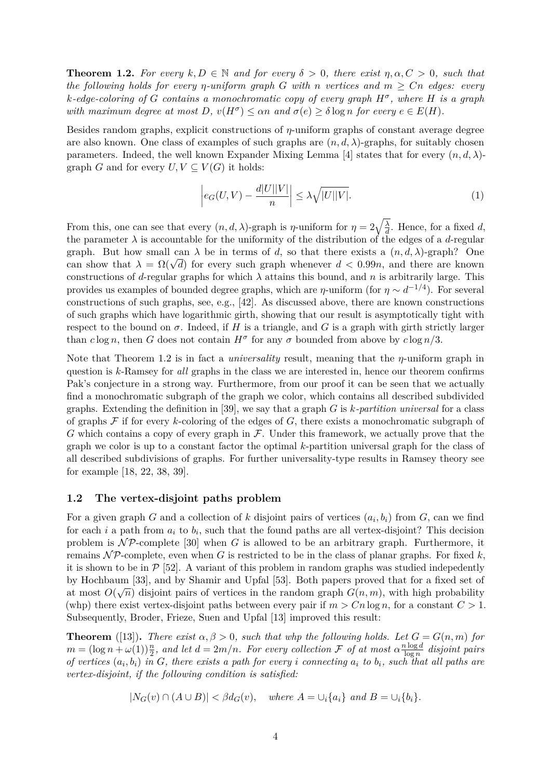<span id="page-3-0"></span>**Theorem 1.2.** For every  $k, D \in \mathbb{N}$  and for every  $\delta > 0$ , there exist  $\eta, \alpha, C > 0$ , such that *the following holds for every η-uniform graph G with n vertices* and  $m \geq Cn$  *edges: every k-edge-coloring of G contains a monochromatic copy of every graph H<sup>σ</sup> , where H is a graph with maximum degree at most*  $D$ *,*  $v(H^{\sigma}) \leq \alpha n$  *and*  $\sigma(e) \geq \delta \log n$  *for every*  $e \in E(H)$ *.* 

Besides random graphs, explicit constructions of *η*-uniform graphs of constant average degree are also known. One class of examples of such graphs are  $(n, d, \lambda)$ -graphs, for suitably chosen parameters. Indeed, the well known Expander Mixing Lemma [\[4\]](#page-12-6) states that for every  $(n, d, \lambda)$ graph *G* and for every  $U, V \subseteq V(G)$  it holds:

<span id="page-3-1"></span>
$$
\left| e_G(U,V) - \frac{d|U||V|}{n} \right| \le \lambda \sqrt{|U||V|}. \tag{1}
$$

From this, one can see that every  $(n, d, \lambda)$ -graph is *η*-uniform for  $\eta = 2\sqrt{\frac{\lambda}{d}}$  $\frac{\lambda}{d}$ . Hence, for a fixed *d*, the parameter  $\lambda$  is accountable for the uniformity of the distribution of the edges of a *d*-regular graph. But how small can  $\lambda$  be in terms of *d*, so that there exists a  $(n, d, \lambda)$ -graph? One graph. But now small can  $\lambda$  be in terms of *a*, so that there exists a  $(n, a, \lambda)$ -graph! One<br>can show that  $\lambda = \Omega(\sqrt{d})$  for every such graph whenever  $d < 0.99n$ , and there are known constructions of *d*-regular graphs for which  $\lambda$  attains this bound, and *n* is arbitrarily large. This provides us examples of bounded degree graphs, which are  $\eta$ -uniform (for  $\eta \sim d^{-1/4}$ ). For several constructions of such graphs, see, e.g., [\[42\]](#page-14-1). As discussed above, there are known constructions of such graphs which have logarithmic girth, showing that our result is asymptotically tight with respect to the bound on  $\sigma$ . Indeed, if *H* is a triangle, and *G* is a graph with girth strictly larger than  $c \log n$ , then *G* does not contain  $H^{\sigma}$  for any  $\sigma$  bounded from above by  $c \log n/3$ .

Note that Theorem [1.2](#page-3-0) is in fact a *universality* result, meaning that the *η*-uniform graph in question is *k*-Ramsey for *all* graphs in the class we are interested in, hence our theorem confirms Pak's conjecture in a strong way. Furthermore, from our proof it can be seen that we actually find a monochromatic subgraph of the graph we color, which contains all described subdivided graphs. Extending the definition in [\[39\]](#page-14-13), we say that a graph *G* is *k-partition universal* for a class of graphs  $\mathcal F$  if for every *k*-coloring of the edges of  $G$ , there exists a monochromatic subgraph of *G* which contains a copy of every graph in  $\mathcal{F}$ . Under this framework, we actually prove that the graph we color is up to a constant factor the optimal *k*-partition universal graph for the class of all described subdivisions of graphs. For further universality-type results in Ramsey theory see for example [\[18,](#page-13-15) [22,](#page-13-12) [38,](#page-14-12) [39\]](#page-14-13).

#### **1.2 The vertex-disjoint paths problem**

For a given graph *G* and a collection of *k* disjoint pairs of vertices  $(a_i, b_i)$  from *G*, can we find for each *i* a path from  $a_i$  to  $b_i$ , such that the found paths are all vertex-disjoint? This decision problem is  $N\mathcal{P}$ -complete [\[30\]](#page-14-14) when *G* is allowed to be an arbitrary graph. Furthermore, it remains  $\mathcal{NP}$ -complete, even when *G* is restricted to be in the class of planar graphs. For fixed *k*, it is shown to be in  $\mathcal{P}$  [\[52\]](#page-15-6). A variant of this problem in random graphs was studied indepedently by Hochbaum [\[33\]](#page-14-15), and by Shamir and Upfal [\[53\]](#page-15-7). Both papers proved that for a fixed set of at most  $O(\sqrt{n})$  disjoint pairs of vertices in the random graph  $G(n,m)$ , with high probability (whp) there exist vertex-disjoint paths between every pair if  $m > Cn \log n$ , for a constant  $C > 1$ . Subsequently, Broder, Frieze, Suen and Upfal [\[13\]](#page-13-16) improved this result:

**Theorem** ([\[13\]](#page-13-16)). *There exist*  $\alpha, \beta > 0$ *, such that whp the following holds. Let*  $G = G(n, m)$  *for*  $m = (\log n + \omega(1))\frac{n}{2}$ , and let  $d = 2m/n$ . For every collection F of at most  $\alpha \frac{n \log d}{\log n}$  $\frac{\log a}{\log n}$  disjoint pairs *of vertices*  $(a_i, b_i)$  *in*  $G$ *, there exists a path for every <i>i connecting*  $a_i$  *to*  $b_i$ *, such that all paths are vertex-disjoint, if the following condition is satisfied:*

$$
|N_G(v) \cap (A \cup B)| < \beta d_G(v), \quad \text{where } A = \bigcup_i \{a_i\} \text{ and } B = \bigcup_i \{b_i\}.
$$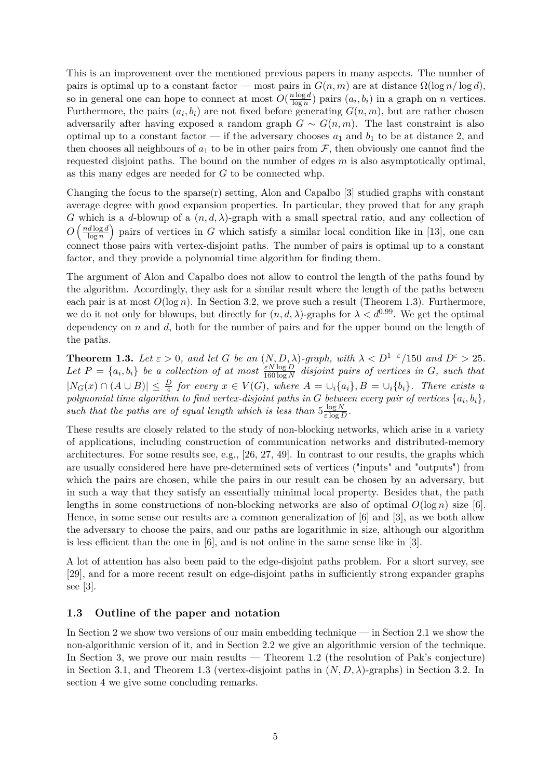This is an improvement over the mentioned previous papers in many aspects. The number of pairs is optimal up to a constant factor — most pairs in  $G(n, m)$  are at distance  $\Omega(\log n / \log d)$ , so in general one can hope to connect at most  $O(\frac{n \log d}{\log n})$  $\frac{n \log a}{\log n}$ ) pairs  $(a_i, b_i)$  in a graph on *n* vertices. Furthermore, the pairs  $(a_i, b_i)$  are not fixed before generating  $G(n, m)$ , but are rather chosen adversarily after having exposed a random graph  $G \sim G(n, m)$ . The last constraint is also optimal up to a constant factor — if the adversary chooses  $a_1$  and  $b_1$  to be at distance 2, and then chooses all neighbours of  $a_1$  to be in other pairs from  $\mathcal{F}$ , then obviously one cannot find the requested disjoint paths. The bound on the number of edges *m* is also asymptotically optimal, as this many edges are needed for *G* to be connected whp.

Changing the focus to the sparse(r) setting, Alon and Capalbo [\[3\]](#page-12-2) studied graphs with constant average degree with good expansion properties. In particular, they proved that for any graph *G* which is a *d*-blowup of a  $(n, d, \lambda)$ -graph with a small spectral ratio, and any collection of  $O\left(\frac{nd \log d}{\log n}\right)$  $\frac{d \log d}{\log n}$  pairs of vertices in *G* which satisfy a similar local condition like in [\[13\]](#page-13-16), one can connect those pairs with vertex-disjoint paths. The number of pairs is optimal up to a constant factor, and they provide a polynomial time algorithm for finding them.

The argument of Alon and Capalbo does not allow to control the length of the paths found by the algorithm. Accordingly, they ask for a similar result where the length of the paths between each pair is at most  $O(\log n)$ . In Section [3.2,](#page-10-0) we prove such a result (Theorem [1.3\)](#page-4-0). Furthermore, we do it not only for blowups, but directly for  $(n, d, \lambda)$ -graphs for  $\lambda < d^{0.99}$ . We get the optimal dependency on *n* and *d*, both for the number of pairs and for the upper bound on the length of the paths.

<span id="page-4-0"></span>**Theorem 1.3.** *Let*  $\varepsilon > 0$ *, and let G be an*  $(N, D, \lambda)$ *-graph, with*  $\lambda < D^{1-\varepsilon}/150$  *and*  $D^{\varepsilon} > 25$ *.* Let  $P = \{a_i, b_i\}$  be a collection of at most  $\frac{\varepsilon N \log D}{160 \log N}$  disjoint pairs of vertices in *G*, such that  $|N_G(x) \cap (A \cup B)| \leq \frac{D}{4}$  for every  $x \in V(G)$ , where  $A = \bigcup_i \{a_i\}, B = \bigcup_i \{b_i\}.$  There exists a *polynomial time algorithm to find vertex-disjoint paths in*  $G$  *between every pair of vertices*  $\{a_i, b_i\}$ *,* such that the paths are of equal length which is less than  $5 \frac{\log N}{\varepsilon \log T}$  $\frac{\log N}{\varepsilon \log D}$ .

These results are closely related to the study of non-blocking networks, which arise in a variety of applications, including construction of communication networks and distributed-memory architectures. For some results see, e.g., [\[26,](#page-13-17) [27,](#page-14-16) [49\]](#page-15-8). In contrast to our results, the graphs which are usually considered here have pre-determined sets of vertices ("inputs" and "outputs") from which the pairs are chosen, while the pairs in our result can be chosen by an adversary, but in such a way that they satisfy an essentially minimal local property. Besides that, the path lengths in some constructions of non-blocking networks are also of optimal  $O(\log n)$  size [\[6\]](#page-12-7). Hence, in some sense our results are a common generalization of [\[6\]](#page-12-7) and [\[3\]](#page-12-2), as we both allow the adversary to choose the pairs, and our paths are logarithmic in size, although our algorithm is less efficient than the one in  $[6]$ , and is not online in the same sense like in  $[3]$ .

A lot of attention has also been paid to the edge-disjoint paths problem. For a short survey, see [\[29\]](#page-14-17), and for a more recent result on edge-disjoint paths in sufficiently strong expander graphs see [\[3\]](#page-12-2).

#### **1.3 Outline of the paper and notation**

In Section [2](#page-5-0) we show two versions of our main embedding technique — in Section [2.1](#page-5-1) we show the non-algorithmic version of it, and in Section [2.2](#page-6-0) we give an algorithmic version of the technique. In Section 3, we prove our main results — Theorem [1.2](#page-3-0) (the resolution of Pak's conjecture) in Section [3.1,](#page-8-0) and Theorem [1.3](#page-4-0) (vertex-disjoint paths in (*N, D, λ*)-graphs) in Section [3.2.](#page-10-0) In section [4](#page-12-8) we give some concluding remarks.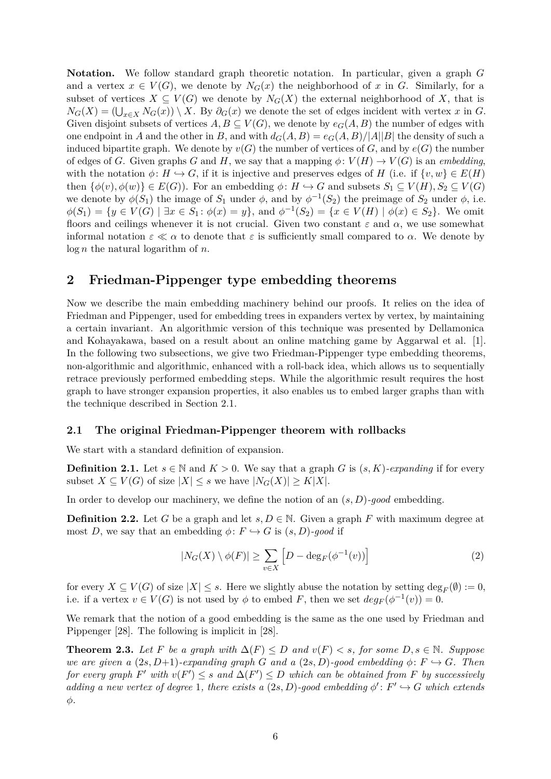**Notation.** We follow standard graph theoretic notation. In particular, given a graph *G* and a vertex  $x \in V(G)$ , we denote by  $N_G(x)$  the neighborhood of x in G. Similarly, for a subset of vertices  $X \subseteq V(G)$  we denote by  $N_G(X)$  the external neighborhood of X, that is  $N_G(X) = (\bigcup_{x \in X} N_G(x)) \setminus X$ . By  $\partial_G(x)$  we denote the set of edges incident with vertex *x* in *G*. Given disjoint subsets of vertices  $A, B \subseteq V(G)$ , we denote by  $e_G(A, B)$  the number of edges with one endpoint in *A* and the other in *B*, and with  $d_G(A, B) = e_G(A, B)/|A||B|$  the density of such a induced bipartite graph. We denote by  $v(G)$  the number of vertices of *G*, and by  $e(G)$  the number of edges of *G*. Given graphs *G* and *H*, we say that a mapping  $\phi: V(H) \to V(G)$  is an *embedding*, with the notation  $\phi: H \hookrightarrow G$ , if it is injective and preserves edges of *H* (i.e. if  $\{v, w\} \in E(H)$ then  $\{\phi(v), \phi(w)\} \in E(G)$ ). For an embedding  $\phi: H \hookrightarrow G$  and subsets  $S_1 \subseteq V(H), S_2 \subseteq V(G)$ we denote by  $\phi(S_1)$  the image of  $S_1$  under  $\phi$ , and by  $\phi^{-1}(S_2)$  the preimage of  $S_2$  under  $\phi$ , i.e.  $\phi(S_1) = \{y \in V(G) \mid \exists x \in S_1 : \phi(x) = y\}$ , and  $\phi^{-1}(S_2) = \{x \in V(H) \mid \phi(x) \in S_2\}$ . We omit floors and ceilings whenever it is not crucial. Given two constant  $\varepsilon$  and  $\alpha$ , we use somewhat informal notation  $\varepsilon \ll \alpha$  to denote that  $\varepsilon$  is sufficiently small compared to  $\alpha$ . We denote by log *n* the natural logarithm of *n*.

# <span id="page-5-0"></span>**2 Friedman-Pippenger type embedding theorems**

Now we describe the main embedding machinery behind our proofs. It relies on the idea of Friedman and Pippenger, used for embedding trees in expanders vertex by vertex, by maintaining a certain invariant. An algorithmic version of this technique was presented by Dellamonica and Kohayakawa, based on a result about an online matching game by Aggarwal et al. [\[1\]](#page-12-3). In the following two subsections, we give two Friedman-Pippenger type embedding theorems, non-algorithmic and algorithmic, enhanced with a roll-back idea, which allows us to sequentially retrace previously performed embedding steps. While the algorithmic result requires the host graph to have stronger expansion properties, it also enables us to embed larger graphs than with the technique described in Section [2.1.](#page-5-1)

#### <span id="page-5-1"></span>**2.1 The original Friedman-Pippenger theorem with rollbacks**

We start with a standard definition of expansion.

**Definition 2.1.** Let  $s \in \mathbb{N}$  and  $K > 0$ . We say that a graph *G* is  $(s, K)$ *-expanding* if for every subset  $X \subseteq V(G)$  of size  $|X| \leq s$  we have  $|N_G(X)| \geq K|X|$ .

In order to develop our machinery, we define the notion of an (*s, D*)*-good* embedding.

**Definition 2.2.** Let *G* be a graph and let  $s, D \in \mathbb{N}$ . Given a graph *F* with maximum degree at most *D*, we say that an embedding  $\phi: F \hookrightarrow G$  is  $(s, D)$ *-good* if

<span id="page-5-2"></span>
$$
|N_G(X) \setminus \phi(F)| \ge \sum_{v \in X} \left[ D - \deg_F(\phi^{-1}(v)) \right] \tag{2}
$$

for every  $X \subseteq V(G)$  of size  $|X| \leq s$ . Here we slightly abuse the notation by setting  $\deg_F(\emptyset) := 0$ , i.e. if a vertex  $v \in V(G)$  is not used by  $\phi$  to embed *F*, then we set  $deg_F(\phi^{-1}(v)) = 0$ .

We remark that the notion of a good embedding is the same as the one used by Friedman and Pippenger [\[28\]](#page-14-3). The following is implicit in [\[28\]](#page-14-3).

<span id="page-5-3"></span>**Theorem 2.3.** Let F be a graph with  $\Delta(F) \leq D$  and  $v(F) \leq s$ , for some  $D, s \in \mathbb{N}$ . Suppose *we are given a*  $(2s, D+1)$ *-expanding graph G and a*  $(2s, D)$ *-good embedding*  $\phi: F \hookrightarrow G$ *. Then for every graph*  $F'$  *with*  $v(F') \leq s$  *and*  $\Delta(F') \leq D$  *which can be obtained from*  $F$  *by successively adding a new vertex of degree* 1, there exists a  $(2s, D)$ -good embedding  $\phi' : F' \hookrightarrow G$  which extends *φ.*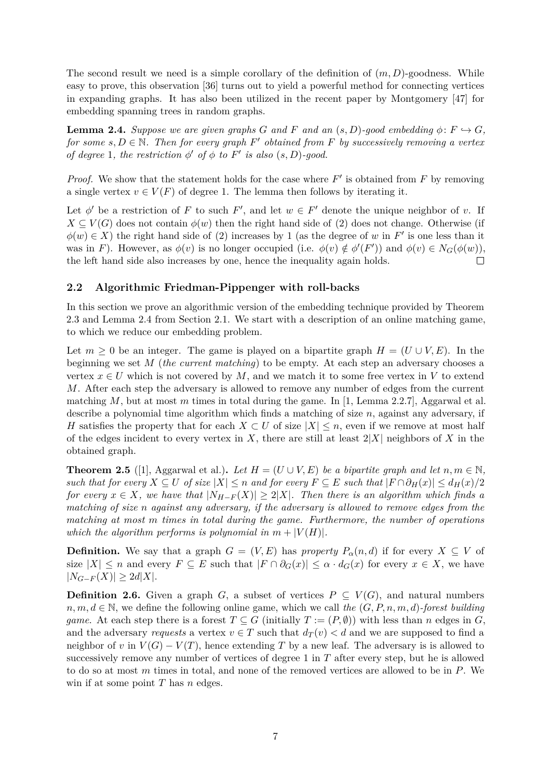The second result we need is a simple corollary of the definition of  $(m, D)$ -goodness. While easy to prove, this observation [\[36\]](#page-14-5) turns out to yield a powerful method for connecting vertices in expanding graphs. It has also been utilized in the recent paper by Montgomery [\[47\]](#page-15-0) for embedding spanning trees in random graphs.

<span id="page-6-1"></span>**Lemma 2.4.** *Suppose we are given graphs G and F and an* (*s, D*)*-good embedding*  $\phi$ :  $F \hookrightarrow G$ *, for some*  $s, D \in \mathbb{N}$ . Then for every graph  $F'$  obtained from  $F$  by successively removing a vertex *of degree* 1*, the restriction*  $\phi'$  *of*  $\phi$  *to*  $F'$  *is also*  $(s, D)$ *-good.* 

*Proof.* We show that the statement holds for the case where  $F'$  is obtained from  $F$  by removing a single vertex  $v \in V(F)$  of degree 1. The lemma then follows by iterating it.

Let  $\phi'$  be a restriction of *F* to such *F*<sup>'</sup>, and let  $w \in F'$  denote the unique neighbor of *v*. If  $X \subseteq V(G)$  does not contain  $\phi(w)$  then the right hand side of [\(2\)](#page-5-2) does not change. Otherwise (if  $\phi(w) \in X$ ) the right hand side of [\(2\)](#page-5-2) increases by 1 (as the degree of *w* in *F*' is one less than it was in *F*). However, as  $\phi(v)$  is no longer occupied (i.e.  $\phi(v) \notin \phi'(F')$ ) and  $\phi(v) \in N_G(\phi(w))$ , the left hand side also increases by one, hence the inequality again holds.  $\Box$ 

#### <span id="page-6-0"></span>**2.2 Algorithmic Friedman-Pippenger with roll-backs**

In this section we prove an algorithmic version of the embedding technique provided by Theorem [2.3](#page-5-3) and Lemma [2.4](#page-6-1) from Section [2.1.](#page-5-1) We start with a description of an online matching game, to which we reduce our embedding problem.

Let  $m \geq 0$  be an integer. The game is played on a bipartite graph  $H = (U \cup V, E)$ . In the beginning we set *M* (*the current matching*) to be empty. At each step an adversary chooses a vertex  $x \in U$  which is not covered by M, and we match it to some free vertex in V to extend *M*. After each step the adversary is allowed to remove any number of edges from the current matching  $M$ , but at most  $m$  times in total during the game. In [\[1,](#page-12-3) Lemma 2.2.7], Aggarwal et al. describe a polynomial time algorithm which finds a matching of size *n*, against any adversary, if *H* satisfies the property that for each  $X \subset U$  of size  $|X| \leq n$ , even if we remove at most half of the edges incident to every vertex in X, there are still at least  $2|X|$  neighbors of X in the obtained graph.

<span id="page-6-2"></span>**Theorem 2.5** ([\[1\]](#page-12-3), Aggarwal et al.). Let  $H = (U \cup V, E)$  be a bipartite graph and let  $n, m \in \mathbb{N}$ , *such that for every*  $X ⊆ U$  *of size*  $|X| ≤ n$  *and for every*  $F ⊆ E$  *such that*  $|F ∩ ∂*H*(x)| ≤ d<sub>H</sub>(x)/2$ *for every*  $x \in X$ *, we have that*  $|N_{H-F}(X)| \geq 2|X|$ *. Then there is an algorithm which finds a matching of size n against any adversary, if the adversary is allowed to remove edges from the matching at most m times in total during the game. Furthermore, the number of operations which the algorithm performs is polynomial in*  $m + |V(H)|$ *.* 

**Definition.** We say that a graph  $G = (V, E)$  has *property*  $P_\alpha(n, d)$  if for every  $X \subseteq V$  of size  $|X| \leq n$  and every  $F \subseteq E$  such that  $|F \cap \partial_G(x)| \leq \alpha \cdot d_G(x)$  for every  $x \in X$ , we have  $|N_{G-F}(X)|$  ≥ 2*d*|*X*|.

**Definition 2.6.** Given a graph *G*, a subset of vertices  $P \subseteq V(G)$ , and natural numbers  $n, m, d \in \mathbb{N}$ , we define the following online game, which we call the  $(G, P, n, m, d)$ *-forest building game*. At each step there is a forest  $T \subseteq G$  (initially  $T := (P, \emptyset)$ ) with less than *n* edges in *G*, and the adversary *requests* a vertex  $v \in T$  such that  $d_T(v) < d$  and we are supposed to find a neighbor of *v* in  $V(G) - V(T)$ , hence extending *T* by a new leaf. The adversary is is allowed to successively remove any number of vertices of degree 1 in *T* after every step, but he is allowed to do so at most *m* times in total, and none of the removed vertices are allowed to be in *P*. We win if at some point *T* has *n* edges.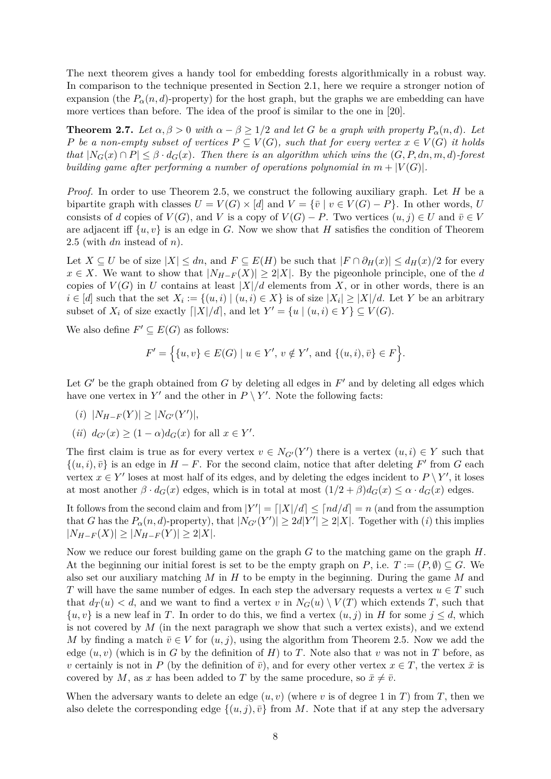The next theorem gives a handy tool for embedding forests algorithmically in a robust way. In comparison to the technique presented in Section [2.1,](#page-5-1) here we require a stronger notion of expansion (the  $P_\alpha(n, d)$ -property) for the host graph, but the graphs we are embedding can have more vertices than before. The idea of the proof is similar to the one in [\[20\]](#page-13-2).

<span id="page-7-0"></span>**Theorem 2.7.** Let  $\alpha, \beta > 0$  with  $\alpha - \beta \geq 1/2$  and let G be a graph with property  $P_\alpha(n, d)$ . Let *P be a non-empty subset of vertices*  $P \subseteq V(G)$ *, such that for every vertex*  $x \in V(G)$  *it holds that*  $|N_G(x) \cap P| \leq \beta \cdot d_G(x)$ . Then there is an algorithm which wins the  $(G, P, dn, m, d)$ *-forest building game after performing a number of operations polynomial in*  $m + |V(G)|$ .

*Proof.* In order to use Theorem [2.5,](#page-6-2) we construct the following auxiliary graph. Let *H* be a bipartite graph with classes  $U = V(G) \times [d]$  and  $V = {\bar{v} \mid v \in V(G) - P}$ . In other words, *U* consists of *d* copies of  $V(G)$ , and *V* is a copy of  $V(G) - P$ . Two vertices  $(u, j) \in U$  and  $\overline{v} \in V$ are adjacent iff  $\{u, v\}$  is an edge in *G*. Now we show that *H* satisfies the condition of Theorem [2.5](#page-6-2) (with *dn* instead of *n*).

Let  $X \subseteq U$  be of size  $|X| \leq dn$ , and  $F \subseteq E(H)$  be such that  $|F \cap \partial_H(x)| \leq d_H(x)/2$  for every *x* ∈ *X*. We want to show that  $|N_{H-F}(X)| \ge 2|X|$ . By the pigeonhole principle, one of the *d* copies of  $V(G)$  in *U* contains at least  $|X|/d$  elements from *X*, or in other words, there is an  $i \in [d]$  such that the set  $X_i := \{(u, i) \mid (u, i) \in X\}$  is of size  $|X_i| \geq |X|/d$ . Let *Y* be an arbitrary subset of  $X_i$  of size exactly  $\lceil |X|/d \rceil$ , and let  $Y' = \{u \mid (u, i) \in Y\} \subseteq V(G)$ .

We also define  $F' \subseteq E(G)$  as follows:

$$
F' = \Big\{ \{u, v\} \in E(G) \mid u \in Y', v \notin Y', \text{ and } \{(u, i), \bar{v}\} \in F \Big\}.
$$

Let  $G'$  be the graph obtained from  $G$  by deleting all edges in  $F'$  and by deleting all edges which have one vertex in  $Y'$  and the other in  $P \setminus Y'$ . Note the following facts:

- $(i)$   $|N_{H-F}(Y)| \geq |N_{G'}(Y')|,$
- $(iii) d_{G'}(x) \ge (1 \alpha) d_G(x)$  for all  $x \in Y'$ .

The first claim is true as for every vertex  $v \in N_{G'}(Y')$  there is a vertex  $(u, i) \in Y$  such that  $\{(u, i), \bar{v}\}\)$  is an edge in  $H - F$ . For the second claim, notice that after deleting *F*' from *G* each vertex  $x \in Y'$  loses at most half of its edges, and by deleting the edges incident to  $P \setminus Y'$ , it loses at most another  $\beta \cdot d_G(x)$  edges, which is in total at most  $(1/2 + \beta)d_G(x) \leq \alpha \cdot d_G(x)$  edges.

It follows from the second claim and from  $|Y'| = |X|/d \leq \lceil nd/d \rceil = n$  (and from the assumption that *G* has the  $P_\alpha(n, d)$ -property), that  $|N_{G'}(Y')| \geq 2d|Y'| \geq 2|X|$ . Together with (*i*) this implies  $|N_{H-F}(X)|$  ≥  $|N_{H-F}(Y)|$  ≥ 2|*X*|.

Now we reduce our forest building game on the graph *G* to the matching game on the graph *H*. At the beginning our initial forest is set to be the empty graph on *P*, i.e.  $T := (P, \emptyset) \subseteq G$ . We also set our auxiliary matching *M* in *H* to be empty in the beginning. During the game *M* and *T* will have the same number of edges. In each step the adversary requests a vertex  $u \in T$  such that  $d_T(u) < d$ , and we want to find a vertex *v* in  $N_G(u) \setminus V(T)$  which extends *T*, such that  $\{u, v\}$  is a new leaf in *T*. In order to do this, we find a vertex  $(u, j)$  in *H* for some  $j \leq d$ , which is not covered by *M* (in the next paragraph we show that such a vertex exists), and we extend *M* by finding a match  $\bar{v} \in V$  for  $(u, j)$ , using the algorithm from Theorem [2.5.](#page-6-2) Now we add the edge  $(u, v)$  (which is in *G* by the definition of *H*) to *T*. Note also that *v* was not in *T* before, as *v* certainly is not in *P* (by the definition of  $\bar{v}$ ), and for every other vertex  $x \in T$ , the vertex  $\bar{x}$  is covered by *M*, as *x* has been added to *T* by the same procedure, so  $\bar{x} \neq \bar{v}$ .

When the adversary wants to delete an edge  $(u, v)$  (where v is of degree 1 in *T*) from *T*, then we also delete the corresponding edge  $\{(u, j), \bar{v}\}\$ from *M*. Note that if at any step the adversary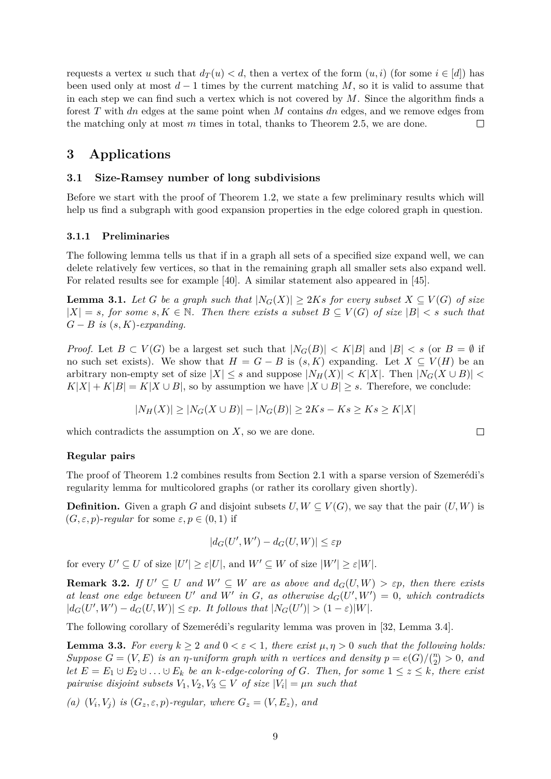requests a vertex *u* such that  $d_T(u) < d$ , then a vertex of the form  $(u, i)$  (for some  $i \in [d]$ ) has been used only at most *d* − 1 times by the current matching *M*, so it is valid to assume that in each step we can find such a vertex which is not covered by *M*. Since the algorithm finds a forest *T* with *dn* edges at the same point when *M* contains *dn* edges, and we remove edges from the matching only at most *m* times in total, thanks to Theorem [2.5,](#page-6-2) we are done.  $\Box$ 

# **3 Applications**

#### <span id="page-8-0"></span>**3.1 Size-Ramsey number of long subdivisions**

Before we start with the proof of Theorem [1.2,](#page-3-0) we state a few preliminary results which will help us find a subgraph with good expansion properties in the edge colored graph in question.

#### **3.1.1 Preliminaries**

The following lemma tells us that if in a graph all sets of a specified size expand well, we can delete relatively few vertices, so that in the remaining graph all smaller sets also expand well. For related results see for example [\[40\]](#page-14-18). A similar statement also appeared in [\[45\]](#page-14-19).

<span id="page-8-3"></span>**Lemma 3.1.** *Let G be a graph such that*  $|N_G(X)| \geq 2Ks$  *for every subset*  $X \subseteq V(G)$  *of size*  $|X| = s$ , for some  $s, K \in \mathbb{N}$ . Then there exists a subset  $B \subseteq V(G)$  of size  $|B| < s$  such that  $G - B$  *is*  $(s, K)$ -expanding.

*Proof.* Let  $B \subset V(G)$  be a largest set such that  $|N_G(B)| < K|B|$  and  $|B| < s$  (or  $B = \emptyset$  if no such set exists). We show that  $H = G - B$  is  $(s, K)$  expanding. Let  $X \subseteq V(H)$  be an arbitrary non-empty set of size  $|X| \leq s$  and suppose  $|N_H(X)| < K|X|$ . Then  $|N_G(X \cup B)|$  $K|X| + K|B| = K|X \cup B|$ , so by assumption we have  $|X \cup B| \geq s$ . Therefore, we conclude:

$$
|N_H(X)| \ge |N_G(X \cup B)| - |N_G(B)| \ge 2Ks - Ks \ge Ks \ge K|X|
$$

which contradicts the assumption on *X*, so we are done.

#### **Regular pairs**

The proof of Theorem [1.2](#page-3-0) combines results from Section [2.1](#page-5-1) with a sparse version of Szemerédi's regularity lemma for multicolored graphs (or rather its corollary given shortly).

**Definition.** Given a graph *G* and disjoint subsets  $U, W \subseteq V(G)$ , we say that the pair  $(U, W)$  is  $(G, \varepsilon, p)$ -*regular* for some  $\varepsilon, p \in (0, 1)$  if

$$
|d_G(U',W') - d_G(U,W)| \leq \varepsilon p
$$

for every  $U' \subseteq U$  of size  $|U'| \geq \varepsilon |U|$ , and  $W' \subseteq W$  of size  $|W'| \geq \varepsilon |W|$ .

<span id="page-8-2"></span>**Remark 3.2.** *If*  $U' \subseteq U$  *and*  $W' \subseteq W$  *are as above and*  $d_G(U, W) > \varepsilon_p$ *, then there exists* at least one edge between U' and W' in G, as otherwise  $d_G(U',W')=0$ , which contradicts  $|d_G(U', W') - d_G(U, W)| \leq \varepsilon p$ . It follows that  $|N_G(U')| > (1 - \varepsilon)|W|$ .

The following corollary of Szemerédi's regularity lemma was proven in [\[32,](#page-14-6) Lemma 3.4].

<span id="page-8-1"></span>**Lemma 3.3.** For every  $k \geq 2$  and  $0 < \varepsilon < 1$ , there exist  $\mu, \eta > 0$  such that the following holds: *Suppose*  $G = (V, E)$  *is an η-uniform graph with n vertices and density*  $p = e(G)/(n) > 0$ , and *let*  $E = E_1 ∪ E_2 ∪ \ldots ∪ E_k$  *be an k-edge-coloring of G. Then, for some*  $1 ≤ z ≤ k$ *, there exist pairwise disjoint subsets*  $V_1, V_2, V_3 \subseteq V$  *of size*  $|V_i| = \mu n$  *such that* 

*(a)*  $(V_i, V_j)$  *is*  $(G_z, \varepsilon, p)$ *-regular, where*  $G_z = (V, E_z)$ *, and*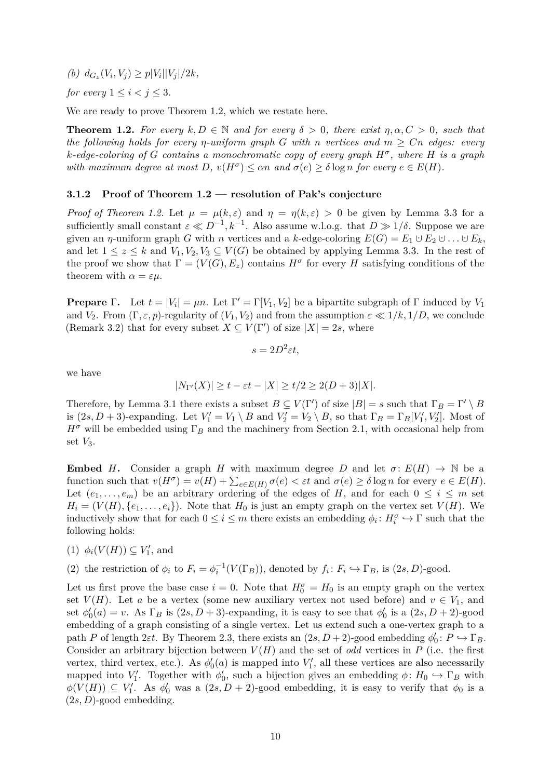(*b*)  $d_{G_z}(V_i, V_j) \geq p|V_i||V_j|/2k$ ,

*for every*  $1 \leq i \leq j \leq 3$ *.* 

We are ready to prove Theorem [1.2,](#page-3-0) which we restate here.

**Theorem 1.2.** For every  $k, D \in \mathbb{N}$  and for every  $\delta > 0$ , there exist  $\eta, \alpha, C > 0$ , such that *the following holds for every η-uniform graph G with n vertices* and  $m \geq Cn$  *edges: every k-edge-coloring of G contains a monochromatic copy of every graph H<sup>σ</sup> , where H is a graph with maximum degree at most*  $D$ *,*  $v(H^{\sigma}) \leq \alpha n$  *and*  $\sigma(e) \geq \delta \log n$  *for every*  $e \in E(H)$ *.* 

#### **3.1.2 Proof of Theorem [1.2](#page-3-0) — resolution of Pak's conjecture**

*Proof of Theorem [1.2.](#page-3-0)* Let  $\mu = \mu(k, \varepsilon)$  and  $\eta = \eta(k, \varepsilon) > 0$  be given by Lemma [3.3](#page-8-1) for a sufficiently small constant  $\varepsilon \ll D^{-1}, k^{-1}$ . Also assume w.l.o.g. that  $D \gg 1/\delta$ . Suppose we are given an *η*-uniform graph *G* with *n* vertices and a *k*-edge-coloring  $E(G) = E_1 \cup E_2 \cup ... \cup E_k$ , and let  $1 \leq z \leq k$  and  $V_1, V_2, V_3 \subseteq V(G)$  be obtained by applying Lemma [3.3.](#page-8-1) In the rest of the proof we show that  $\Gamma = (V(G), E_z)$  contains  $H^{\sigma}$  for every *H* satisfying conditions of the theorem with  $\alpha = \varepsilon \mu$ .

**Prepare** Γ. Let  $t = |V_i| = \mu n$ . Let  $\Gamma' = \Gamma[V_1, V_2]$  be a bipartite subgraph of Γ induced by  $V_1$ and *V*<sub>2</sub>. From  $(\Gamma, \varepsilon, p)$ -regularity of  $(V_1, V_2)$  and from the assumption  $\varepsilon \ll 1/k, 1/D$ , we conclude (Remark [3.2\)](#page-8-2) that for every subset  $X \subseteq V(\Gamma')$  of size  $|X| = 2s$ , where

$$
s = 2D^2 \varepsilon t,
$$

we have

$$
|N_{\Gamma'}(X)| \ge t - \varepsilon t - |X| \ge t/2 \ge 2(D+3)|X|.
$$

Therefore, by Lemma [3.1](#page-8-3) there exists a subset  $B \subseteq V(\Gamma')$  of size  $|B| = s$  such that  $\Gamma_B = \Gamma' \setminus B$ is  $(2s, D + 3)$ -expanding. Let  $V'_1 = V_1 \setminus B$  and  $V'_2 = V_2 \setminus B$ , so that  $\Gamma_B = \Gamma_B[V'_1, V'_2]$ . Most of  $H^{\sigma}$  will be embedded using  $\Gamma_B$  and the machinery from Section [2.1,](#page-5-1) with occasional help from set *V*3.

**Embed** *H***.** Consider a graph *H* with maximum degree *D* and let  $\sigma$ :  $E(H) \rightarrow \mathbb{N}$  be a function such that  $v(H^{\sigma}) = v(H) + \sum_{e \in E(H)} \sigma(e) < \varepsilon t$  and  $\sigma(e) \geq \delta \log n$  for every  $e \in E(H)$ . Let  $(e_1, \ldots, e_m)$  be an arbitrary ordering of the edges of *H*, and for each  $0 \leq i \leq m$  set  $H_i = (V(H), \{e_1, \ldots, e_i\})$ . Note that  $H_0$  is just an empty graph on the vertex set  $V(H)$ . We inductively show that for each  $0 \leq i \leq m$  there exists an embedding  $\phi_i: H_i^{\sigma} \hookrightarrow \Gamma$  such that the following holds:

- (1)  $\phi_i(V(H)) \subseteq V'_1$ , and
- (2) the restriction of  $\phi_i$  to  $F_i = \phi_i^{-1}(V(\Gamma_B))$ , denoted by  $f_i: F_i \hookrightarrow \Gamma_B$ , is  $(2s, D)$ -good.

Let us first prove the base case  $i = 0$ . Note that  $H_0^{\sigma} = H_0$  is an empty graph on the vertex set  $V(H)$ . Let *a* be a vertex (some new auxiliary vertex not used before) and  $v \in V_1$ , and set  $\phi'_0(a) = v$ . As  $\Gamma_B$  is  $(2s, D + 3)$ -expanding, it is easy to see that  $\phi'_0$  is a  $(2s, D + 2)$ -good embedding of a graph consisting of a single vertex. Let us extend such a one-vertex graph to a path *P* of length 2*εt*. By Theorem [2.3,](#page-5-3) there exists an  $(2s, D + 2)$ -good embedding  $\phi'_0: P \hookrightarrow \Gamma_B$ . Consider an arbitrary bijection between  $V(H)$  and the set of *odd* vertices in  $P$  (i.e. the first vertex, third vertex, etc.). As  $\phi'_{0}(a)$  is mapped into  $V'_{1}$ , all these vertices are also necessarily mapped into *V*<sub>1</sub><sup>'</sup>. Together with  $\phi_0'$ , such a bijection gives an embedding  $\phi: H_0 \hookrightarrow \Gamma_B$  with  $\phi(V(H)) \subseteq V'_1$ . As  $\phi'_0$  was a  $(2s, D + 2)$ -good embedding, it is easy to verify that  $\phi_0$  is a (2*s, D*)-good embedding.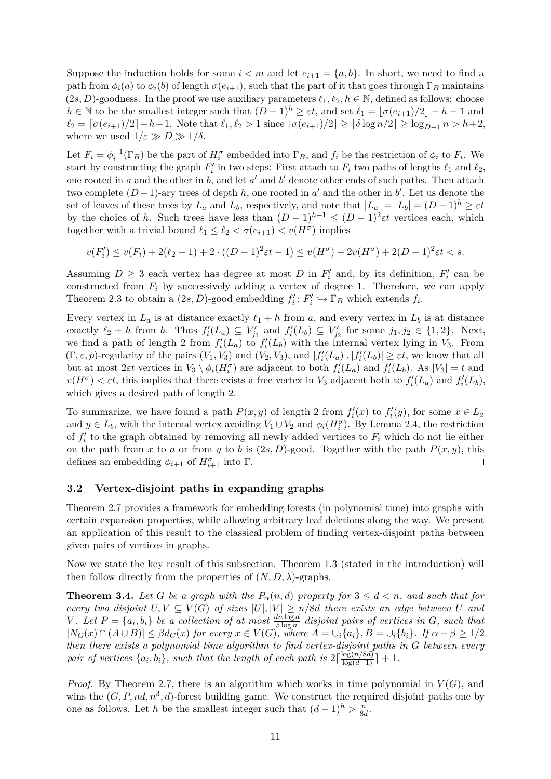Suppose the induction holds for some  $i < m$  and let  $e_{i+1} = \{a, b\}$ . In short, we need to find a path from  $\phi_i(a)$  to  $\phi_i(b)$  of length  $\sigma(e_{i+1})$ , such that the part of it that goes through  $\Gamma_B$  maintains  $(2s, D)$ -goodness. In the proof we use auxiliary parameters  $\ell_1, \ell_2, h \in \mathbb{N}$ , defined as follows: choose *h* ∈ N to be the smallest integer such that  $(D-1)^h \geq \varepsilon t$ , and set  $\ell_1 = |\sigma(e_{i+1})/2| - h - 1$  and  $\ell_2 = \lceil \sigma(e_{i+1})/2 \rceil - h - 1$ . Note that  $\ell_1, \ell_2 > 1$  since  $\lceil \sigma(e_{i+1})/2 \rceil \geq \lceil \delta \log n/2 \rceil \geq \log_{D-1} n > h + 2$ , where we used  $1/\varepsilon \gg D \gg 1/\delta$ .

Let  $F_i = \phi_i^{-1}(\Gamma_B)$  be the part of  $H_i^{\sigma}$  embedded into  $\Gamma_B$ , and  $f_i$  be the restriction of  $\phi_i$  to  $F_i$ . We start by constructing the graph  $F'_{i}$  in two steps: First attach to  $F_{i}$  two paths of lengths  $\ell_1$  and  $\ell_2$ , one rooted in  $a$  and the other in  $b$ , and let  $a'$  and  $b'$  denote other ends of such paths. Then attach two complete  $(D-1)$ -ary trees of depth *h*, one rooted in *a'* and the other in *b'*. Let us denote the set of leaves of these trees by  $L_a$  and  $L_b$ , respectively, and note that  $|L_a| = |L_b| = (D-1)^h \geq \varepsilon t$ by the choice of *h*. Such trees have less than  $(D-1)^{h+1} \leq (D-1)^2 \varepsilon t$  vertices each, which together with a trivial bound  $\ell_1 \leq \ell_2 < \sigma(e_{i+1}) < v(H^{\sigma})$  implies

 $v(F'_i) \le v(F_i) + 2(\ell_2 - 1) + 2 \cdot ((D - 1)^2 \varepsilon t - 1) \le v(H^{\sigma}) + 2v(H^{\sigma}) + 2(D - 1)^2 \varepsilon t < s.$ 

Assuming  $D \geq 3$  each vertex has degree at most  $D$  in  $F'_{i}$  and, by its definition,  $F'_{i}$  can be constructed from  $F_i$  by successively adding a vertex of degree 1. Therefore, we can apply Theorem [2.3](#page-5-3) to obtain a  $(2s, D)$ -good embedding  $f'_i: F'_i \hookrightarrow \Gamma_B$  which extends  $f_i$ .

Every vertex in  $L_a$  is at distance exactly  $\ell_1 + h$  from *a*, and every vertex in  $L_b$  is at distance exactly  $\ell_2 + h$  from b. Thus  $f_i'(L_a) \subseteq V'_{j_1}$  and  $f_i'(L_b) \subseteq V'_{j_2}$  for some  $j_1, j_2 \in \{1, 2\}$ . Next, we find a path of length 2 from  $f_i'(L_a)$  to  $f_i'(L_b)$  with the internal vertex lying in  $V_3$ . From  $(\Gamma, \varepsilon, p)$ -regularity of the pairs  $(V_1, V_3)$  and  $(V_2, V_3)$ , and  $|f'_i(L_a)|, |f'_i(L_b)| \geq \varepsilon t$ , we know that all but at most 2 $\varepsilon t$  vertices in  $V_3 \setminus \phi_i(H_i^{\sigma})$  are adjacent to both  $f_i'(L_a)$  and  $f_i'(L_b)$ . As  $|V_3| = t$  and  $v(H^{\sigma}) < \varepsilon t$ , this implies that there exists a free vertex in *V*<sub>3</sub> adjacent both to  $f'_{i}(L_{a})$  and  $f'_{i}(L_{b})$ , which gives a desired path of length 2.

To summarize, we have found a path  $P(x, y)$  of length 2 from  $f_i'(x)$  to  $f_i'(y)$ , for some  $x \in L_a$ and  $y \in L_b$ , with the internal vertex avoiding  $V_1 \cup V_2$  and  $\phi_i(H_i^{\sigma})$ . By Lemma [2.4,](#page-6-1) the restriction of  $f'_{i}$  to the graph obtained by removing all newly added vertices to  $F_{i}$  which do not lie either on the path from *x* to *a* or from *y* to *b* is  $(2s, D)$ -good. Together with the path  $P(x, y)$ , this defines an embedding  $\phi_{i+1}$  of  $H_{i+1}^{\sigma}$  into  $\Gamma$ .  $\Box$ 

#### <span id="page-10-0"></span>**3.2 Vertex-disjoint paths in expanding graphs**

Theorem [2.7](#page-7-0) provides a framework for embedding forests (in polynomial time) into graphs with certain expansion properties, while allowing arbitrary leaf deletions along the way. We present an application of this result to the classical problem of finding vertex-disjoint paths between given pairs of vertices in graphs.

Now we state the key result of this subsection. Theorem [1.3](#page-4-0) (stated in the introduction) will then follow directly from the properties of  $(N, D, \lambda)$ -graphs.

<span id="page-10-1"></span>**Theorem 3.4.** Let G be a graph with the  $P_{\alpha}(n,d)$  property for  $3 \leq d \leq n$ , and such that for *every two disjoint*  $U, V \subseteq V(G)$  *of sizes*  $|U|, |V| \ge n/8d$  *there exists an edge between U and V*. Let  $P = \{a_i, b_i\}$  be a collection of at most  $\frac{dn \log d}{5 \log n}$  disjoint pairs of vertices in *G*, such that  $|N_G(x) \cap (A \cup B)| \leq \beta d_G(x)$  for every  $x \in V(G)$ , where  $A = \bigcup_i \{a_i\}, B = \bigcup_i \{b_i\}.$  If  $\alpha - \beta \geq 1/2$ *then there exists a polynomial time algorithm to find vertex-disjoint paths in G between every pair of vertices*  $\{a_i, b_i\}$ *, such that the length of each path is*  $2\lceil \frac{\log(n/8d)}{\log(d-1)} \rceil + 1$ *.* 

*Proof.* By Theorem [2.7,](#page-7-0) there is an algorithm which works in time polynomial in  $V(G)$ , and wins the  $(G, P, nd, n^3, d)$ -forest building game. We construct the required disjoint paths one by one as follows. Let *h* be the smallest integer such that  $(d-1)^h > \frac{n}{8d}$  $\frac{n}{8d}$ .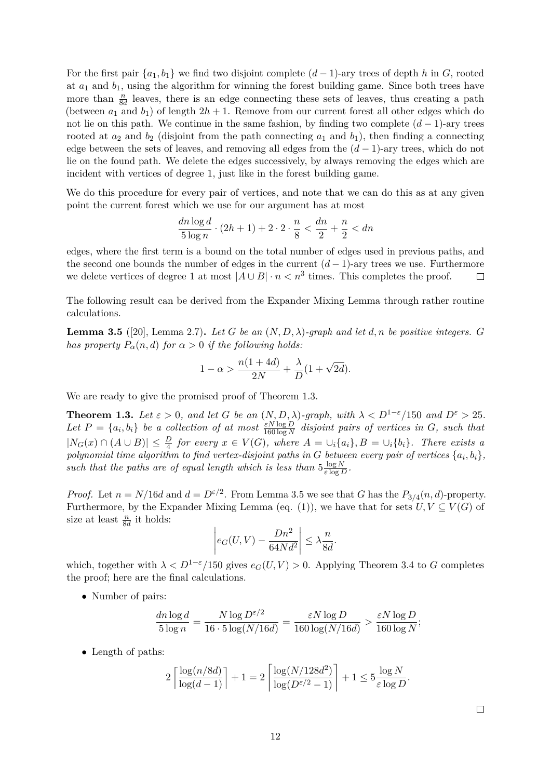For the first pair  $\{a_1, b_1\}$  we find two disjoint complete  $(d-1)$ -ary trees of depth *h* in *G*, rooted at  $a_1$  and  $b_1$ , using the algorithm for winning the forest building game. Since both trees have more than  $\frac{n}{8d}$  leaves, there is an edge connecting these sets of leaves, thus creating a path (between  $a_1$  and  $b_1$ ) of length  $2h + 1$ . Remove from our current forest all other edges which do not lie on this path. We continue in the same fashion, by finding two complete  $(d-1)$ -ary trees rooted at  $a_2$  and  $b_2$  (disjoint from the path connecting  $a_1$  and  $b_1$ ), then finding a connecting edge between the sets of leaves, and removing all edges from the (*d* − 1)-ary trees, which do not lie on the found path. We delete the edges successively, by always removing the edges which are incident with vertices of degree 1, just like in the forest building game.

We do this procedure for every pair of vertices, and note that we can do this as at any given point the current forest which we use for our argument has at most

$$
\frac{dn \log d}{5 \log n} \cdot (2h+1) + 2 \cdot 2 \cdot \frac{n}{8} < \frac{dn}{2} + \frac{n}{2} < dn
$$

edges, where the first term is a bound on the total number of edges used in previous paths, and the second one bounds the number of edges in the current  $(d-1)$ -ary trees we use. Furthermore we delete vertices of degree 1 at most  $|A \cup B| \cdot n < n^3$  times. This completes the proof.  $\Box$ 

The following result can be derived from the Expander Mixing Lemma through rather routine calculations.

<span id="page-11-0"></span>**Lemma 3.5** ([\[20\]](#page-13-2), Lemma 2.7). Let G be an  $(N, D, \lambda)$ -graph and let  $d, n$  be positive integers. G *has property*  $P_{\alpha}(n, d)$  *for*  $\alpha > 0$  *if the following holds:* 

$$
1 - \alpha > \frac{n(1+4d)}{2N} + \frac{\lambda}{D}(1+\sqrt{2d}).
$$

We are ready to give the promised proof of Theorem [1.3.](#page-4-0)

**Theorem 1.3.** Let  $\varepsilon > 0$ , and let G be an  $(N, D, \lambda)$ -graph, with  $\lambda < D^{1-\varepsilon}/150$  and  $D^{\varepsilon} > 25$ . Let  $P = \{a_i, b_i\}$  be a collection of at most  $\frac{\varepsilon N \log D}{160 \log N}$  disjoint pairs of vertices in *G*, such that  $|N_G(x) \cap (A \cup B)| \leq \frac{D}{4}$  for every  $x \in V(G)$ , where  $A = \bigcup_i \{a_i\}, B = \bigcup_i \{b_i\}.$  There exists a *polynomial time algorithm to find vertex-disjoint paths in*  $G$  *between every pair of vertices*  $\{a_i, b_i\}$ *,* such that the paths are of equal length which is less than  $5 \frac{\log N}{\varepsilon \log T}$  $\frac{\log N}{\varepsilon \log D}$ .

*Proof.* Let  $n = N/16d$  and  $d = D^{\varepsilon/2}$ . From Lemma [3.5](#page-11-0) we see that *G* has the  $P_{3/4}(n, d)$ -property. Furthermore, by the Expander Mixing Lemma (eq. [\(1\)](#page-3-1)), we have that for sets  $U, V \subseteq V(G)$  of size at least  $\frac{n}{8d}$  it holds:

$$
\left| e_G(U,V) - \frac{Dn^2}{64Nd^2} \right| \le \lambda \frac{n}{8d}.
$$

which, together with  $\lambda < D^{1-\varepsilon}/150$  gives  $e_G(U, V) > 0$ . Applying Theorem [3.4](#page-10-1) to *G* completes the proof; here are the final calculations.

• Number of pairs:

$$
\frac{dn \log d}{5 \log n} = \frac{N \log D^{\varepsilon/2}}{16 \cdot 5 \log(N/16d)} = \frac{\varepsilon N \log D}{160 \log(N/16d)} > \frac{\varepsilon N \log D}{160 \log N};
$$

• Length of paths:

$$
2\left\lceil \frac{\log(n/8d)}{\log(d-1)} \right\rceil + 1 = 2\left\lceil \frac{\log(N/128d^2)}{\log(D^{\varepsilon/2} - 1)} \right\rceil + 1 \le 5\frac{\log N}{\varepsilon \log D}.
$$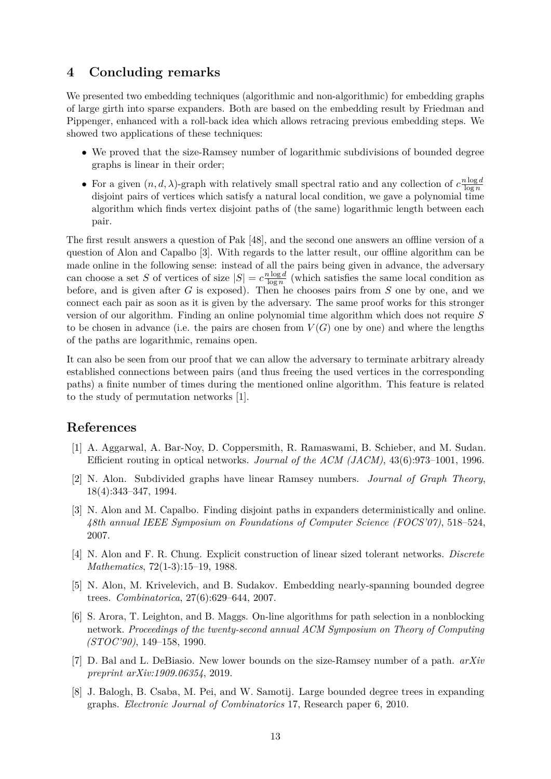## <span id="page-12-8"></span>**4 Concluding remarks**

We presented two embedding techniques (algorithmic and non-algorithmic) for embedding graphs of large girth into sparse expanders. Both are based on the embedding result by Friedman and Pippenger, enhanced with a roll-back idea which allows retracing previous embedding steps. We showed two applications of these techniques:

- We proved that the size-Ramsey number of logarithmic subdivisions of bounded degree graphs is linear in their order;
- For a given  $(n, d, \lambda)$ -graph with relatively small spectral ratio and any collection of  $c \frac{n \log d}{\log n}$ log *n* disjoint pairs of vertices which satisfy a natural local condition, we gave a polynomial time algorithm which finds vertex disjoint paths of (the same) logarithmic length between each pair.

The first result answers a question of Pak [\[48\]](#page-15-2), and the second one answers an offline version of a question of Alon and Capalbo [\[3\]](#page-12-2). With regards to the latter result, our offline algorithm can be made online in the following sense: instead of all the pairs being given in advance, the adversary can choose a set *S* of vertices of size  $|S| = c \frac{n \log d}{\log n}$  $\frac{i \log a}{\log n}$  (which satisfies the same local condition as before, and is given after  $G$  is exposed). Then he chooses pairs from  $S$  one by one, and we connect each pair as soon as it is given by the adversary. The same proof works for this stronger version of our algorithm. Finding an online polynomial time algorithm which does not require *S* to be chosen in advance (i.e. the pairs are chosen from  $V(G)$  one by one) and where the lengths of the paths are logarithmic, remains open.

It can also be seen from our proof that we can allow the adversary to terminate arbitrary already established connections between pairs (and thus freeing the used vertices in the corresponding paths) a finite number of times during the mentioned online algorithm. This feature is related to the study of permutation networks [\[1\]](#page-12-3).

### **References**

- <span id="page-12-3"></span>[1] A. Aggarwal, A. Bar-Noy, D. Coppersmith, R. Ramaswami, B. Schieber, and M. Sudan. Efficient routing in optical networks. *Journal of the ACM (JACM)*, 43(6):973–1001, 1996.
- <span id="page-12-5"></span>[2] N. Alon. Subdivided graphs have linear Ramsey numbers. *Journal of Graph Theory*, 18(4):343–347, 1994.
- <span id="page-12-2"></span>[3] N. Alon and M. Capalbo. Finding disjoint paths in expanders deterministically and online. *48th annual IEEE Symposium on Foundations of Computer Science (FOCS'07)*, 518–524, 2007.
- <span id="page-12-6"></span>[4] N. Alon and F. R. Chung. Explicit construction of linear sized tolerant networks. *Discrete Mathematics*, 72(1-3):15–19, 1988.
- <span id="page-12-0"></span>[5] N. Alon, M. Krivelevich, and B. Sudakov. Embedding nearly-spanning bounded degree trees. *Combinatorica*, 27(6):629–644, 2007.
- <span id="page-12-7"></span>[6] S. Arora, T. Leighton, and B. Maggs. On-line algorithms for path selection in a nonblocking network. *Proceedings of the twenty-second annual ACM Symposium on Theory of Computing (STOC'90)*, 149–158, 1990.
- <span id="page-12-4"></span>[7] D. Bal and L. DeBiasio. New lower bounds on the size-Ramsey number of a path. *arXiv preprint arXiv:1909.06354*, 2019.
- <span id="page-12-1"></span>[8] J. Balogh, B. Csaba, M. Pei, and W. Samotij. Large bounded degree trees in expanding graphs. *Electronic Journal of Combinatorics* 17, Research paper 6, 2010.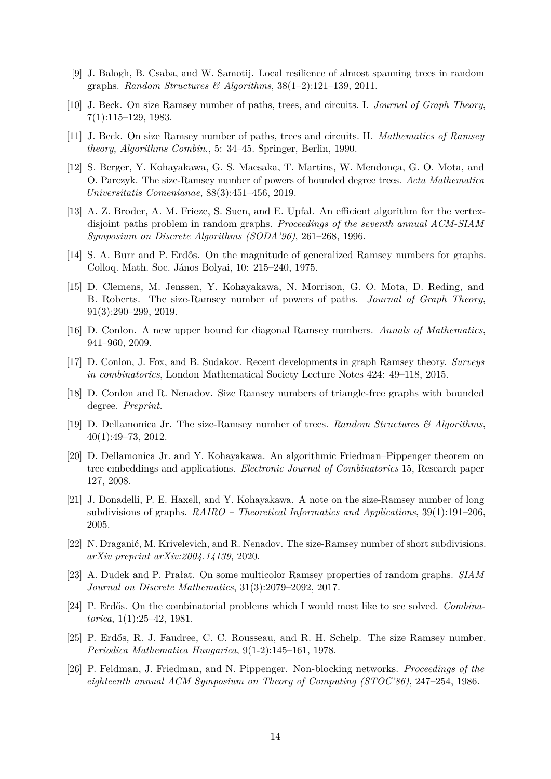- <span id="page-13-1"></span>[9] J. Balogh, B. Csaba, and W. Samotij. Local resilience of almost spanning trees in random graphs. *Random Structures & Algorithms*, 38(1–2):121–139, 2011.
- <span id="page-13-0"></span>[10] J. Beck. On size Ramsey number of paths, trees, and circuits. I. *Journal of Graph Theory*, 7(1):115–129, 1983.
- <span id="page-13-7"></span>[11] J. Beck. On size Ramsey number of paths, trees and circuits. II. *Mathematics of Ramsey theory*, *Algorithms Combin.*, 5: 34–45. Springer, Berlin, 1990.
- <span id="page-13-8"></span>[12] S. Berger, Y. Kohayakawa, G. S. Maesaka, T. Martins, W. Mendonça, G. O. Mota, and O. Parczyk. The size-Ramsey number of powers of bounded degree trees. *Acta Mathematica Universitatis Comenianae*, 88(3):451–456, 2019.
- <span id="page-13-16"></span>[13] A. Z. Broder, A. M. Frieze, S. Suen, and E. Upfal. An efficient algorithm for the vertexdisjoint paths problem in random graphs. *Proceedings of the seventh annual ACM-SIAM Symposium on Discrete Algorithms (SODA'96)*, 261–268, 1996.
- <span id="page-13-13"></span>[14] S. A. Burr and P. Erdős. On the magnitude of generalized Ramsey numbers for graphs. Colloq. Math. Soc. János Bolyai, 10: 215–240, 1975.
- <span id="page-13-9"></span>[15] D. Clemens, M. Jenssen, Y. Kohayakawa, N. Morrison, G. O. Mota, D. Reding, and B. Roberts. The size-Ramsey number of powers of paths. *Journal of Graph Theory*, 91(3):290–299, 2019.
- <span id="page-13-3"></span>[16] D. Conlon. A new upper bound for diagonal Ramsey numbers. *Annals of Mathematics*, 941–960, 2009.
- <span id="page-13-5"></span>[17] D. Conlon, J. Fox, and B. Sudakov. Recent developments in graph Ramsey theory. *Surveys in combinatorics*, London Mathematical Society Lecture Notes 424: 49–118, 2015.
- <span id="page-13-15"></span>[18] D. Conlon and R. Nenadov. Size Ramsey numbers of triangle-free graphs with bounded degree. *Preprint.*
- <span id="page-13-10"></span>[19] D. Dellamonica Jr. The size-Ramsey number of trees. *Random Structures & Algorithms*,  $40(1):49-73, 2012.$
- <span id="page-13-2"></span>[20] D. Dellamonica Jr. and Y. Kohayakawa. An algorithmic Friedman–Pippenger theorem on tree embeddings and applications. *Electronic Journal of Combinatorics* 15, Research paper 127, 2008.
- <span id="page-13-14"></span>[21] J. Donadelli, P. E. Haxell, and Y. Kohayakawa. A note on the size-Ramsey number of long subdivisions of graphs. *RAIRO – Theoretical Informatics and Applications*, 39(1):191–206, 2005.
- <span id="page-13-12"></span>[22] N. Draganić, M. Krivelevich, and R. Nenadov. The size-Ramsey number of short subdivisions. *arXiv preprint arXiv:2004.14139*, 2020.
- <span id="page-13-11"></span>[23] A. Dudek and P. Prałat. On some multicolor Ramsey properties of random graphs. *SIAM Journal on Discrete Mathematics*, 31(3):2079–2092, 2017.
- <span id="page-13-6"></span>[24] P. Erdős. On the combinatorial problems which I would most like to see solved. *Combinatorica*, 1(1):25–42, 1981.
- <span id="page-13-4"></span>[25] P. Erdős, R. J. Faudree, C. C. Rousseau, and R. H. Schelp. The size Ramsey number. *Periodica Mathematica Hungarica*, 9(1-2):145–161, 1978.
- <span id="page-13-17"></span>[26] P. Feldman, J. Friedman, and N. Pippenger. Non-blocking networks. *Proceedings of the eighteenth annual ACM Symposium on Theory of Computing (STOC'86)*, 247–254, 1986.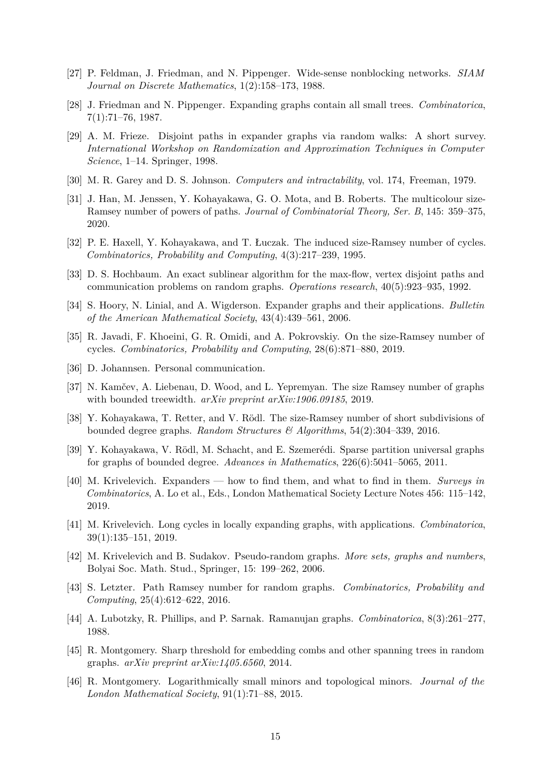- <span id="page-14-16"></span>[27] P. Feldman, J. Friedman, and N. Pippenger. Wide-sense nonblocking networks. *SIAM Journal on Discrete Mathematics*, 1(2):158–173, 1988.
- <span id="page-14-3"></span>[28] J. Friedman and N. Pippenger. Expanding graphs contain all small trees. *Combinatorica*, 7(1):71–76, 1987.
- <span id="page-14-17"></span>[29] A. M. Frieze. Disjoint paths in expander graphs via random walks: A short survey. *International Workshop on Randomization and Approximation Techniques in Computer Science*, 1–14. Springer, 1998.
- <span id="page-14-14"></span>[30] M. R. Garey and D. S. Johnson. *Computers and intractability*, vol. 174, Freeman, 1979.
- <span id="page-14-7"></span>[31] J. Han, M. Jenssen, Y. Kohayakawa, G. O. Mota, and B. Roberts. The multicolour size-Ramsey number of powers of paths. *Journal of Combinatorial Theory, Ser. B*, 145: 359–375, 2020.
- <span id="page-14-6"></span>[32] P. E. Haxell, Y. Kohayakawa, and T. Łuczak. The induced size-Ramsey number of cycles. *Combinatorics, Probability and Computing*, 4(3):217–239, 1995.
- <span id="page-14-15"></span>[33] D. S. Hochbaum. An exact sublinear algorithm for the max-flow, vertex disjoint paths and communication problems on random graphs. *Operations research*, 40(5):923–935, 1992.
- <span id="page-14-0"></span>[34] S. Hoory, N. Linial, and A. Wigderson. Expander graphs and their applications. *Bulletin of the American Mathematical Society*, 43(4):439–561, 2006.
- <span id="page-14-8"></span>[35] R. Javadi, F. Khoeini, G. R. Omidi, and A. Pokrovskiy. On the size-Ramsey number of cycles. *Combinatorics, Probability and Computing*, 28(6):871–880, 2019.
- <span id="page-14-5"></span>[36] D. Johannsen. Personal communication.
- <span id="page-14-9"></span>[37] N. Kamčev, A. Liebenau, D. Wood, and L. Yepremyan. The size Ramsey number of graphs with bounded treewidth. *arXiv preprint arXiv:1906.09185*, 2019.
- <span id="page-14-12"></span>[38] Y. Kohayakawa, T. Retter, and V. Rödl. The size-Ramsey number of short subdivisions of bounded degree graphs. *Random Structures & Algorithms*, 54(2):304–339, 2016.
- <span id="page-14-13"></span>[39] Y. Kohayakawa, V. Rödl, M. Schacht, and E. Szemerédi. Sparse partition universal graphs for graphs of bounded degree. *Advances in Mathematics*, 226(6):5041–5065, 2011.
- <span id="page-14-18"></span>[40] M. Krivelevich. Expanders — how to find them, and what to find in them. *Surveys in Combinatorics*, A. Lo et al., Eds., London Mathematical Society Lecture Notes 456: 115–142, 2019.
- <span id="page-14-10"></span>[41] M. Krivelevich. Long cycles in locally expanding graphs, with applications. *Combinatorica*, 39(1):135–151, 2019.
- <span id="page-14-1"></span>[42] M. Krivelevich and B. Sudakov. Pseudo-random graphs. *More sets, graphs and numbers*, Bolyai Soc. Math. Stud., Springer, 15: 199–262, 2006.
- <span id="page-14-11"></span>[43] S. Letzter. Path Ramsey number for random graphs. *Combinatorics, Probability and Computing*, 25(4):612–622, 2016.
- <span id="page-14-2"></span>[44] A. Lubotzky, R. Phillips, and P. Sarnak. Ramanujan graphs. *Combinatorica*, 8(3):261–277, 1988.
- <span id="page-14-19"></span>[45] R. Montgomery. Sharp threshold for embedding combs and other spanning trees in random graphs. *arXiv preprint arXiv:1405.6560*, 2014.
- <span id="page-14-4"></span>[46] R. Montgomery. Logarithmically small minors and topological minors. *Journal of the London Mathematical Society*, 91(1):71–88, 2015.